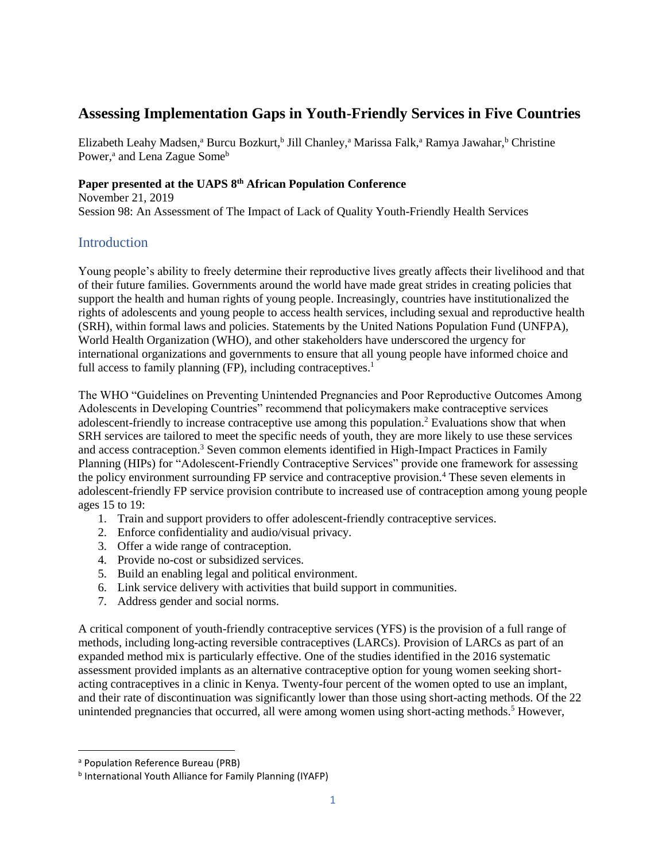# **Assessing Implementation Gaps in Youth-Friendly Services in Five Countries**

Elizabeth Leahy Madsen,<sup>a</sup> Burcu Bozkurt,<sup>b</sup> Jill Chanley,<sup>a</sup> Marissa Falk,<sup>a</sup> Ramya Jawahar,<sup>b</sup> Christine Power,<sup>a</sup> and Lena Zague Some<sup>b</sup>

# **Paper presented at the UAPS 8th African Population Conference**

November 21, 2019 Session 98: An Assessment of The Impact of Lack of Quality Youth-Friendly Health Services

# **Introduction**

Young people's ability to freely determine their reproductive lives greatly affects their livelihood and that of their future families. Governments around the world have made great strides in creating policies that support the health and human rights of young people. Increasingly, countries have institutionalized the rights of adolescents and young people to access health services, including sexual and reproductive health (SRH), within formal laws and policies. Statements by the United Nations Population Fund (UNFPA), World Health Organization (WHO), and other stakeholders have underscored the urgency for international organizations and governments to ensure that all young people have informed choice and full access to family planning  $(FP)$ , including contraceptives.<sup>1</sup>

The WHO "Guidelines on Preventing Unintended Pregnancies and Poor Reproductive Outcomes Among Adolescents in Developing Countries" recommend that policymakers make contraceptive services adolescent-friendly to increase contraceptive use among this population.<sup>2</sup> Evaluations show that when SRH services are tailored to meet the specific needs of youth, they are more likely to use these services and access contraception.<sup>3</sup> Seven common elements identified in High-Impact Practices in Family Planning (HIPs) for "Adolescent-Friendly Contraceptive Services" provide one framework for assessing the policy environment surrounding FP service and contraceptive provision.<sup>4</sup> These seven elements in adolescent-friendly FP service provision contribute to increased use of contraception among young people ages 15 to 19:

- 1. Train and support providers to offer adolescent-friendly contraceptive services.
- 2. Enforce confidentiality and audio/visual privacy.
- 3. Offer a wide range of contraception.
- 4. Provide no-cost or subsidized services.
- 5. Build an enabling legal and political environment.
- 6. Link service delivery with activities that build support in communities.
- 7. Address gender and social norms.

A critical component of youth-friendly contraceptive services (YFS) is the provision of a full range of methods, including long-acting reversible contraceptives (LARCs). Provision of LARCs as part of an expanded method mix is particularly effective. One of the studies identified in the 2016 systematic assessment provided implants as an alternative contraceptive option for young women seeking shortacting contraceptives in a clinic in Kenya. Twenty-four percent of the women opted to use an implant, and their rate of discontinuation was significantly lower than those using short-acting methods. Of the 22 unintended pregnancies that occurred, all were among women using short-acting methods.<sup>5</sup> However,

 $\overline{\phantom{a}}$ 

<sup>a</sup> Population Reference Bureau (PRB)

**b International Youth Alliance for Family Planning (IYAFP)**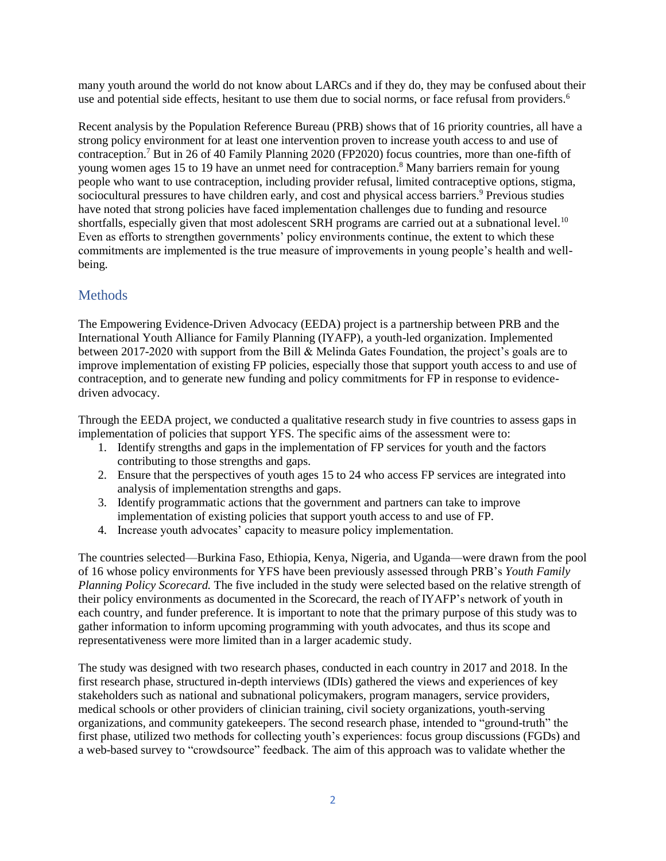many youth around the world do not know about LARCs and if they do, they may be confused about their use and potential side effects, hesitant to use them due to social norms, or face refusal from providers.<sup>6</sup>

Recent analysis by the Population Reference Bureau (PRB) shows that of 16 priority countries, all have a strong policy environment for at least one intervention proven to increase youth access to and use of contraception.<sup>7</sup> But in 26 of 40 Family Planning 2020 (FP2020) focus countries, more than one-fifth of young women ages 15 to 19 have an unmet need for contraception.<sup>8</sup> Many barriers remain for young people who want to use contraception, including provider refusal, limited contraceptive options, stigma, sociocultural pressures to have children early, and cost and physical access barriers.<sup>9</sup> Previous studies have noted that strong policies have faced implementation challenges due to funding and resource shortfalls, especially given that most adolescent SRH programs are carried out at a subnational level.<sup>10</sup> Even as efforts to strengthen governments' policy environments continue, the extent to which these commitments are implemented is the true measure of improvements in young people's health and wellbeing.

# **Methods**

The Empowering Evidence-Driven Advocacy (EEDA) project is a partnership between PRB and the International Youth Alliance for Family Planning (IYAFP), a youth-led organization. Implemented between 2017-2020 with support from the Bill & Melinda Gates Foundation, the project's goals are to improve implementation of existing FP policies, especially those that support youth access to and use of contraception, and to generate new funding and policy commitments for FP in response to evidencedriven advocacy.

Through the EEDA project, we conducted a qualitative research study in five countries to assess gaps in implementation of policies that support YFS. The specific aims of the assessment were to:

- 1. Identify strengths and gaps in the implementation of FP services for youth and the factors contributing to those strengths and gaps.
- 2. Ensure that the perspectives of youth ages 15 to 24 who access FP services are integrated into analysis of implementation strengths and gaps.
- 3. Identify programmatic actions that the government and partners can take to improve implementation of existing policies that support youth access to and use of FP.
- 4. Increase youth advocates' capacity to measure policy implementation.

The countries selected—Burkina Faso, Ethiopia, Kenya, Nigeria, and Uganda—were drawn from the pool of 16 whose policy environments for YFS have been previously assessed through PRB's *Youth Family Planning Policy Scorecard.* The five included in the study were selected based on the relative strength of their policy environments as documented in the Scorecard, the reach of IYAFP's network of youth in each country, and funder preference. It is important to note that the primary purpose of this study was to gather information to inform upcoming programming with youth advocates, and thus its scope and representativeness were more limited than in a larger academic study.

The study was designed with two research phases, conducted in each country in 2017 and 2018. In the first research phase, structured in-depth interviews (IDIs) gathered the views and experiences of key stakeholders such as national and subnational policymakers, program managers, service providers, medical schools or other providers of clinician training, civil society organizations, youth-serving organizations, and community gatekeepers. The second research phase, intended to "ground-truth" the first phase, utilized two methods for collecting youth's experiences: focus group discussions (FGDs) and a web-based survey to "crowdsource" feedback. The aim of this approach was to validate whether the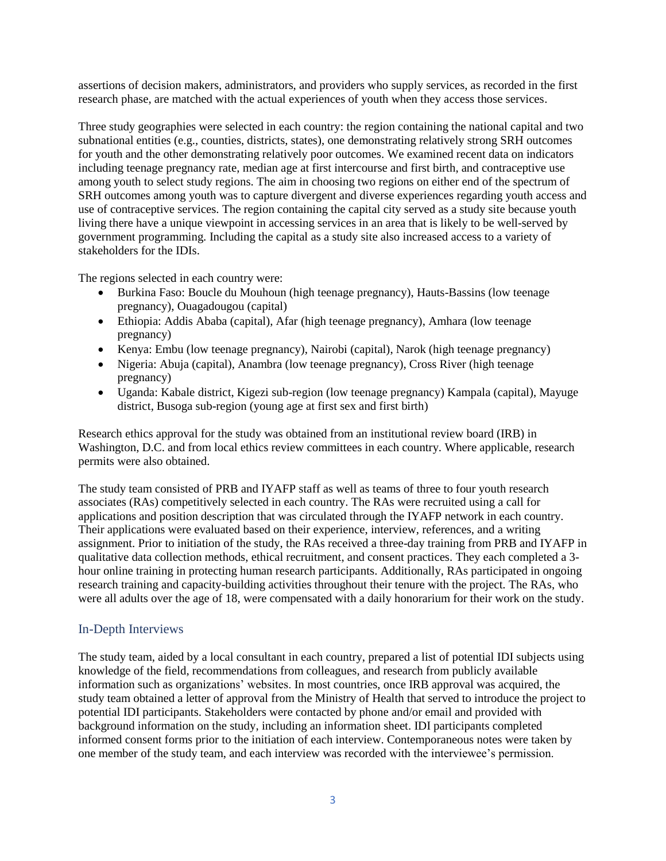assertions of decision makers, administrators, and providers who supply services, as recorded in the first research phase, are matched with the actual experiences of youth when they access those services.

Three study geographies were selected in each country: the region containing the national capital and two subnational entities (e.g., counties, districts, states), one demonstrating relatively strong SRH outcomes for youth and the other demonstrating relatively poor outcomes. We examined recent data on indicators including teenage pregnancy rate, median age at first intercourse and first birth, and contraceptive use among youth to select study regions. The aim in choosing two regions on either end of the spectrum of SRH outcomes among youth was to capture divergent and diverse experiences regarding youth access and use of contraceptive services. The region containing the capital city served as a study site because youth living there have a unique viewpoint in accessing services in an area that is likely to be well-served by government programming. Including the capital as a study site also increased access to a variety of stakeholders for the IDIs.

The regions selected in each country were:

- Burkina Faso: Boucle du Mouhoun (high teenage pregnancy), Hauts-Bassins (low teenage pregnancy), Ouagadougou (capital)
- Ethiopia: Addis Ababa (capital), Afar (high teenage pregnancy), Amhara (low teenage pregnancy)
- Kenya: Embu (low teenage pregnancy), Nairobi (capital), Narok (high teenage pregnancy)
- Nigeria: Abuja (capital), Anambra (low teenage pregnancy), Cross River (high teenage pregnancy)
- Uganda: Kabale district, Kigezi sub-region (low teenage pregnancy) Kampala (capital), Mayuge district, Busoga sub-region (young age at first sex and first birth)

Research ethics approval for the study was obtained from an institutional review board (IRB) in Washington, D.C. and from local ethics review committees in each country. Where applicable, research permits were also obtained.

The study team consisted of PRB and IYAFP staff as well as teams of three to four youth research associates (RAs) competitively selected in each country. The RAs were recruited using a call for applications and position description that was circulated through the IYAFP network in each country. Their applications were evaluated based on their experience, interview, references, and a writing assignment. Prior to initiation of the study, the RAs received a three-day training from PRB and IYAFP in qualitative data collection methods, ethical recruitment, and consent practices. They each completed a 3 hour online training in protecting human research participants. Additionally, RAs participated in ongoing research training and capacity-building activities throughout their tenure with the project. The RAs, who were all adults over the age of 18, were compensated with a daily honorarium for their work on the study.

### In-Depth Interviews

The study team, aided by a local consultant in each country, prepared a list of potential IDI subjects using knowledge of the field, recommendations from colleagues, and research from publicly available information such as organizations' websites. In most countries, once IRB approval was acquired, the study team obtained a letter of approval from the Ministry of Health that served to introduce the project to potential IDI participants. Stakeholders were contacted by phone and/or email and provided with background information on the study, including an information sheet. IDI participants completed informed consent forms prior to the initiation of each interview. Contemporaneous notes were taken by one member of the study team, and each interview was recorded with the interviewee's permission.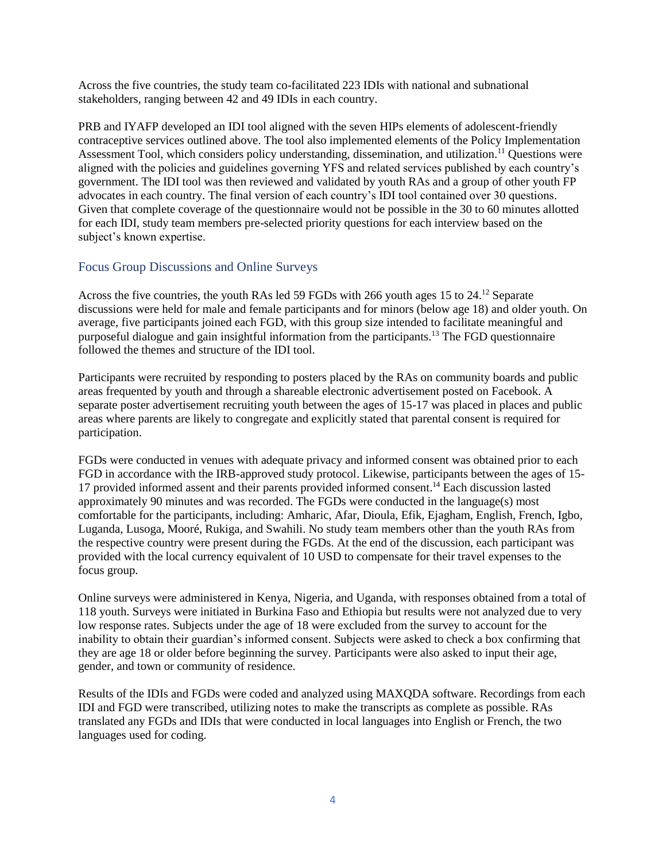Across the five countries, the study team co-facilitated 223 IDIs with national and subnational stakeholders, ranging between 42 and 49 IDIs in each country.

PRB and IYAFP developed an IDI tool aligned with the seven HIPs elements of adolescent-friendly contraceptive services outlined above. The tool also implemented elements of the Policy Implementation Assessment Tool, which considers policy understanding, dissemination, and utilization.<sup>11</sup> Questions were aligned with the policies and guidelines governing YFS and related services published by each country's government. The IDI tool was then reviewed and validated by youth RAs and a group of other youth FP advocates in each country. The final version of each country's IDI tool contained over 30 questions. Given that complete coverage of the questionnaire would not be possible in the 30 to 60 minutes allotted for each IDI, study team members pre-selected priority questions for each interview based on the subject's known expertise.

### Focus Group Discussions and Online Surveys

Across the five countries, the youth RAs led 59 FGDs with 266 youth ages 15 to 24.<sup>12</sup> Separate discussions were held for male and female participants and for minors (below age 18) and older youth. On average, five participants joined each FGD, with this group size intended to facilitate meaningful and purposeful dialogue and gain insightful information from the participants.<sup>13</sup> The FGD questionnaire followed the themes and structure of the IDI tool.

Participants were recruited by responding to posters placed by the RAs on community boards and public areas frequented by youth and through a shareable electronic advertisement posted on Facebook. A separate poster advertisement recruiting youth between the ages of 15-17 was placed in places and public areas where parents are likely to congregate and explicitly stated that parental consent is required for participation.

FGDs were conducted in venues with adequate privacy and informed consent was obtained prior to each FGD in accordance with the IRB-approved study protocol. Likewise, participants between the ages of 15- 17 provided informed assent and their parents provided informed consent. <sup>14</sup> Each discussion lasted approximately 90 minutes and was recorded. The FGDs were conducted in the language(s) most comfortable for the participants, including: Amharic, Afar, Dioula, Efik, Ejagham, English, French, Igbo, Luganda, Lusoga, Mooré, Rukiga, and Swahili. No study team members other than the youth RAs from the respective country were present during the FGDs. At the end of the discussion, each participant was provided with the local currency equivalent of 10 USD to compensate for their travel expenses to the focus group.

Online surveys were administered in Kenya, Nigeria, and Uganda, with responses obtained from a total of 118 youth. Surveys were initiated in Burkina Faso and Ethiopia but results were not analyzed due to very low response rates. Subjects under the age of 18 were excluded from the survey to account for the inability to obtain their guardian's informed consent. Subjects were asked to check a box confirming that they are age 18 or older before beginning the survey. Participants were also asked to input their age, gender, and town or community of residence.

Results of the IDIs and FGDs were coded and analyzed using MAXQDA software. Recordings from each IDI and FGD were transcribed, utilizing notes to make the transcripts as complete as possible. RAs translated any FGDs and IDIs that were conducted in local languages into English or French, the two languages used for coding.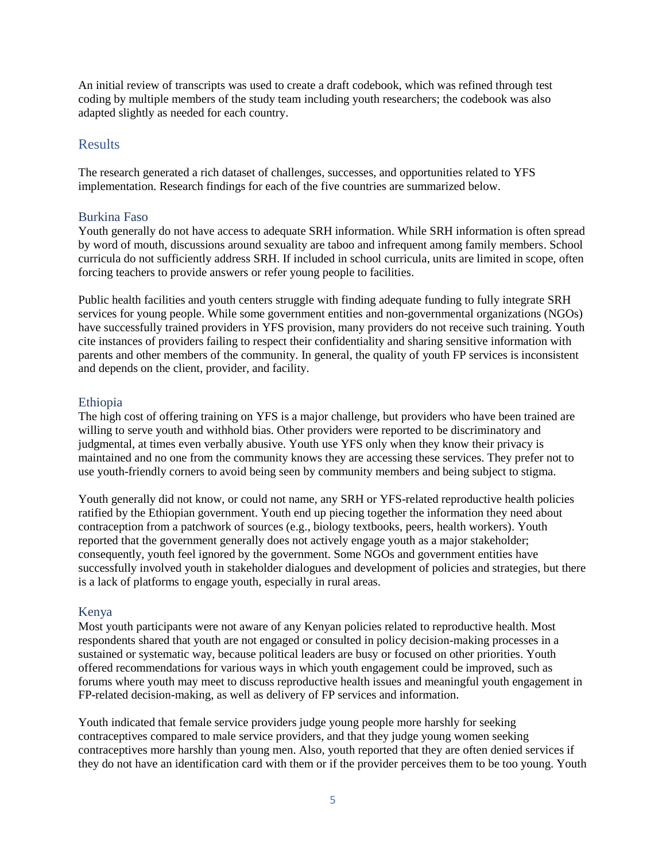An initial review of transcripts was used to create a draft codebook, which was refined through test coding by multiple members of the study team including youth researchers; the codebook was also adapted slightly as needed for each country.

### Results

The research generated a rich dataset of challenges, successes, and opportunities related to YFS implementation. Research findings for each of the five countries are summarized below.

#### Burkina Faso

Youth generally do not have access to adequate SRH information. While SRH information is often spread by word of mouth, discussions around sexuality are taboo and infrequent among family members. School curricula do not sufficiently address SRH. If included in school curricula, units are limited in scope, often forcing teachers to provide answers or refer young people to facilities.

Public health facilities and youth centers struggle with finding adequate funding to fully integrate SRH services for young people. While some government entities and non-governmental organizations (NGOs) have successfully trained providers in YFS provision, many providers do not receive such training. Youth cite instances of providers failing to respect their confidentiality and sharing sensitive information with parents and other members of the community. In general, the quality of youth FP services is inconsistent and depends on the client, provider, and facility.

#### Ethiopia

The high cost of offering training on YFS is a major challenge, but providers who have been trained are willing to serve youth and withhold bias. Other providers were reported to be discriminatory and judgmental, at times even verbally abusive. Youth use YFS only when they know their privacy is maintained and no one from the community knows they are accessing these services. They prefer not to use youth-friendly corners to avoid being seen by community members and being subject to stigma.

Youth generally did not know, or could not name, any SRH or YFS-related reproductive health policies ratified by the Ethiopian government. Youth end up piecing together the information they need about contraception from a patchwork of sources (e.g., biology textbooks, peers, health workers). Youth reported that the government generally does not actively engage youth as a major stakeholder; consequently, youth feel ignored by the government. Some NGOs and government entities have successfully involved youth in stakeholder dialogues and development of policies and strategies, but there is a lack of platforms to engage youth, especially in rural areas.

#### Kenya

Most youth participants were not aware of any Kenyan policies related to reproductive health. Most respondents shared that youth are not engaged or consulted in policy decision-making processes in a sustained or systematic way, because political leaders are busy or focused on other priorities. Youth offered recommendations for various ways in which youth engagement could be improved, such as forums where youth may meet to discuss reproductive health issues and meaningful youth engagement in FP-related decision-making, as well as delivery of FP services and information.

Youth indicated that female service providers judge young people more harshly for seeking contraceptives compared to male service providers, and that they judge young women seeking contraceptives more harshly than young men. Also, youth reported that they are often denied services if they do not have an identification card with them or if the provider perceives them to be too young. Youth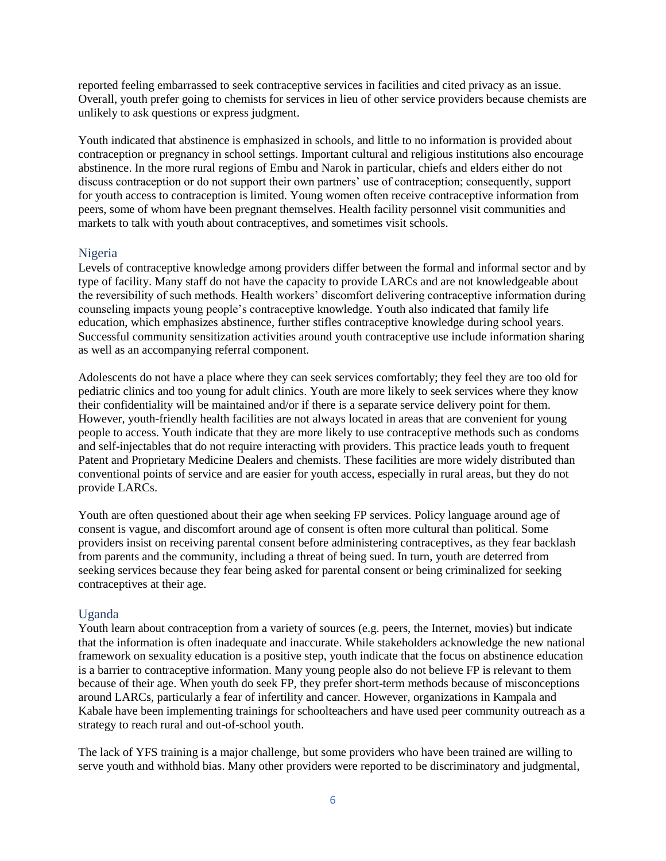reported feeling embarrassed to seek contraceptive services in facilities and cited privacy as an issue. Overall, youth prefer going to chemists for services in lieu of other service providers because chemists are unlikely to ask questions or express judgment.

Youth indicated that abstinence is emphasized in schools, and little to no information is provided about contraception or pregnancy in school settings. Important cultural and religious institutions also encourage abstinence. In the more rural regions of Embu and Narok in particular, chiefs and elders either do not discuss contraception or do not support their own partners' use of contraception; consequently, support for youth access to contraception is limited. Young women often receive contraceptive information from peers, some of whom have been pregnant themselves. Health facility personnel visit communities and markets to talk with youth about contraceptives, and sometimes visit schools.

#### Nigeria

Levels of contraceptive knowledge among providers differ between the formal and informal sector and by type of facility. Many staff do not have the capacity to provide LARCs and are not knowledgeable about the reversibility of such methods. Health workers' discomfort delivering contraceptive information during counseling impacts young people's contraceptive knowledge. Youth also indicated that family life education, which emphasizes abstinence, further stifles contraceptive knowledge during school years. Successful community sensitization activities around youth contraceptive use include information sharing as well as an accompanying referral component.

Adolescents do not have a place where they can seek services comfortably; they feel they are too old for pediatric clinics and too young for adult clinics. Youth are more likely to seek services where they know their confidentiality will be maintained and/or if there is a separate service delivery point for them. However, youth-friendly health facilities are not always located in areas that are convenient for young people to access. Youth indicate that they are more likely to use contraceptive methods such as condoms and self-injectables that do not require interacting with providers. This practice leads youth to frequent Patent and Proprietary Medicine Dealers and chemists. These facilities are more widely distributed than conventional points of service and are easier for youth access, especially in rural areas, but they do not provide LARCs.

Youth are often questioned about their age when seeking FP services. Policy language around age of consent is vague, and discomfort around age of consent is often more cultural than political. Some providers insist on receiving parental consent before administering contraceptives, as they fear backlash from parents and the community, including a threat of being sued. In turn, youth are deterred from seeking services because they fear being asked for parental consent or being criminalized for seeking contraceptives at their age.

### Uganda

Youth learn about contraception from a variety of sources (e.g. peers, the Internet, movies) but indicate that the information is often inadequate and inaccurate. While stakeholders acknowledge the new national framework on sexuality education is a positive step, youth indicate that the focus on abstinence education is a barrier to contraceptive information. Many young people also do not believe FP is relevant to them because of their age. When youth do seek FP, they prefer short-term methods because of misconceptions around LARCs, particularly a fear of infertility and cancer. However, organizations in Kampala and Kabale have been implementing trainings for schoolteachers and have used peer community outreach as a strategy to reach rural and out-of-school youth.

The lack of YFS training is a major challenge, but some providers who have been trained are willing to serve youth and withhold bias. Many other providers were reported to be discriminatory and judgmental,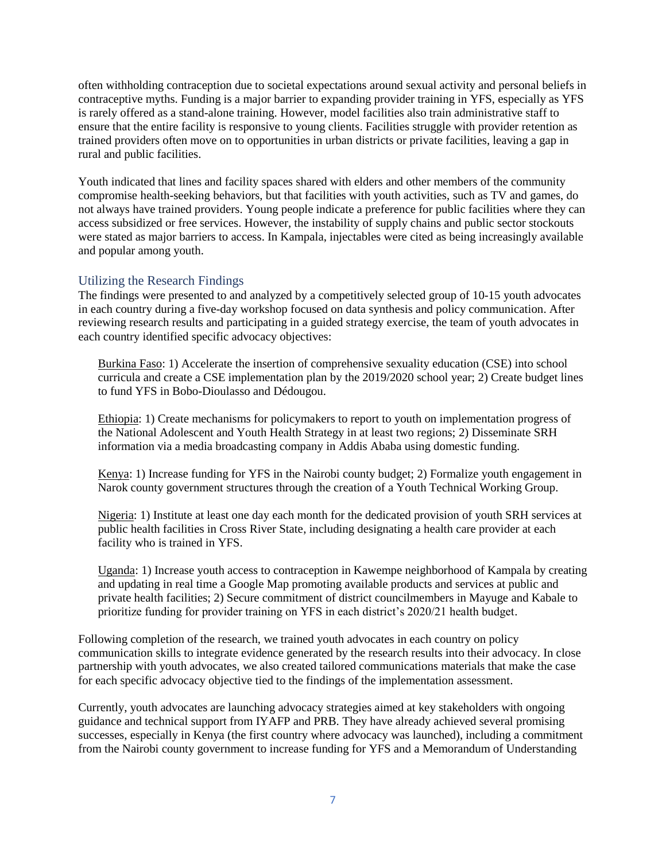often withholding contraception due to societal expectations around sexual activity and personal beliefs in contraceptive myths. Funding is a major barrier to expanding provider training in YFS, especially as YFS is rarely offered as a stand-alone training. However, model facilities also train administrative staff to ensure that the entire facility is responsive to young clients. Facilities struggle with provider retention as trained providers often move on to opportunities in urban districts or private facilities, leaving a gap in rural and public facilities.

Youth indicated that lines and facility spaces shared with elders and other members of the community compromise health-seeking behaviors, but that facilities with youth activities, such as TV and games, do not always have trained providers. Young people indicate a preference for public facilities where they can access subsidized or free services. However, the instability of supply chains and public sector stockouts were stated as major barriers to access. In Kampala, injectables were cited as being increasingly available and popular among youth.

### Utilizing the Research Findings

The findings were presented to and analyzed by a competitively selected group of 10-15 youth advocates in each country during a five-day workshop focused on data synthesis and policy communication. After reviewing research results and participating in a guided strategy exercise, the team of youth advocates in each country identified specific advocacy objectives:

Burkina Faso: 1) Accelerate the insertion of comprehensive sexuality education (CSE) into school curricula and create a CSE implementation plan by the 2019/2020 school year; 2) Create budget lines to fund YFS in Bobo-Dioulasso and Dédougou.

Ethiopia: 1) Create mechanisms for policymakers to report to youth on implementation progress of the National Adolescent and Youth Health Strategy in at least two regions; 2) Disseminate SRH information via a media broadcasting company in Addis Ababa using domestic funding.

Kenya: 1) Increase funding for YFS in the Nairobi county budget; 2) Formalize youth engagement in Narok county government structures through the creation of a Youth Technical Working Group.

Nigeria: 1) Institute at least one day each month for the dedicated provision of youth SRH services at public health facilities in Cross River State, including designating a health care provider at each facility who is trained in YFS.

Uganda: 1) Increase youth access to contraception in Kawempe neighborhood of Kampala by creating and updating in real time a Google Map promoting available products and services at public and private health facilities; 2) Secure commitment of district councilmembers in Mayuge and Kabale to prioritize funding for provider training on YFS in each district's 2020/21 health budget.

Following completion of the research, we trained youth advocates in each country on policy communication skills to integrate evidence generated by the research results into their advocacy. In close partnership with youth advocates, we also created tailored communications materials that make the case for each specific advocacy objective tied to the findings of the implementation assessment.

Currently, youth advocates are launching advocacy strategies aimed at key stakeholders with ongoing guidance and technical support from IYAFP and PRB. They have already achieved several promising successes, especially in Kenya (the first country where advocacy was launched), including a commitment from the Nairobi county government to increase funding for YFS and a Memorandum of Understanding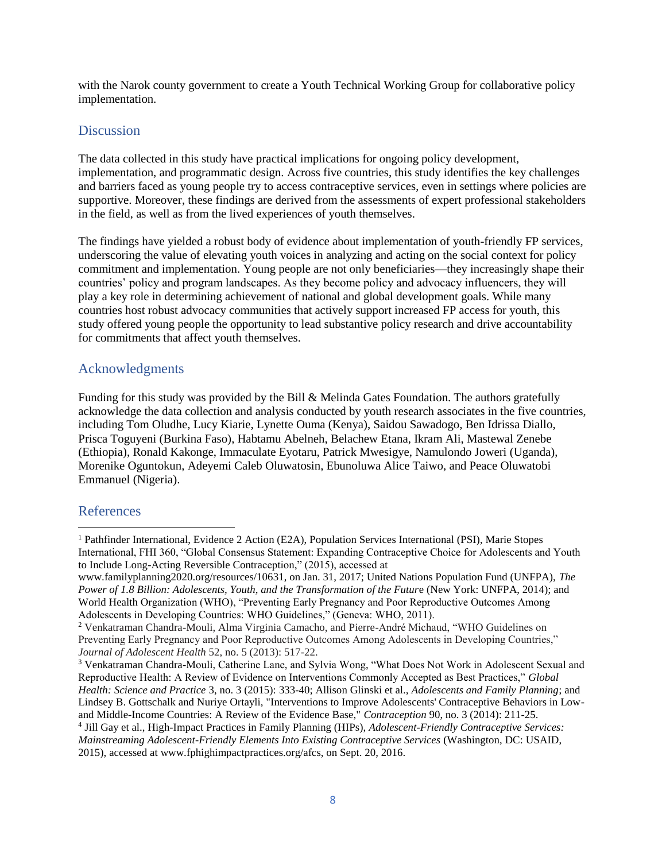with the Narok county government to create a Youth Technical Working Group for collaborative policy implementation.

### **Discussion**

The data collected in this study have practical implications for ongoing policy development, implementation, and programmatic design. Across five countries, this study identifies the key challenges and barriers faced as young people try to access contraceptive services, even in settings where policies are supportive. Moreover, these findings are derived from the assessments of expert professional stakeholders in the field, as well as from the lived experiences of youth themselves.

The findings have yielded a robust body of evidence about implementation of youth-friendly FP services, underscoring the value of elevating youth voices in analyzing and acting on the social context for policy commitment and implementation. Young people are not only beneficiaries—they increasingly shape their countries' policy and program landscapes. As they become policy and advocacy influencers, they will play a key role in determining achievement of national and global development goals. While many countries host robust advocacy communities that actively support increased FP access for youth, this study offered young people the opportunity to lead substantive policy research and drive accountability for commitments that affect youth themselves.

### Acknowledgments

Funding for this study was provided by the Bill & Melinda Gates Foundation. The authors gratefully acknowledge the data collection and analysis conducted by youth research associates in the five countries, including Tom Oludhe, Lucy Kiarie, Lynette Ouma (Kenya), Saidou Sawadogo, Ben Idrissa Diallo, Prisca Toguyeni (Burkina Faso), Habtamu Abelneh, Belachew Etana, Ikram Ali, Mastewal Zenebe (Ethiopia), Ronald Kakonge, Immaculate Eyotaru, Patrick Mwesigye, Namulondo Joweri (Uganda), Morenike Oguntokun, Adeyemi Caleb Oluwatosin, Ebunoluwa Alice Taiwo, and Peace Oluwatobi Emmanuel (Nigeria).

# References

l

<sup>3</sup> Venkatraman Chandra-Mouli, Catherine Lane, and Sylvia Wong, "What Does Not Work in Adolescent Sexual and Reproductive Health: A Review of Evidence on Interventions Commonly Accepted as Best Practices," *Global Health: Science and Practice* 3, no. 3 (2015): 333-40; Allison Glinski et al., *Adolescents and Family Planning*; and Lindsey B. Gottschalk and Nuriye Ortayli, "Interventions to Improve Adolescents' Contraceptive Behaviors in Lowand Middle-Income Countries: A Review of the Evidence Base," *Contraception* 90, no. 3 (2014): 211-25. 4 Jill Gay et al., High-Impact Practices in Family Planning (HIPs), *Adolescent-Friendly Contraceptive Services: Mainstreaming Adolescent-Friendly Elements Into Existing Contraceptive Services* (Washington, DC: USAID, 2015), accessed at www.fphighimpactpractices.org/afcs, on Sept. 20, 2016.

<sup>1</sup> Pathfinder International, Evidence 2 Action (E2A), Population Services International (PSI), Marie Stopes International, FHI 360, "Global Consensus Statement: Expanding Contraceptive Choice for Adolescents and Youth to Include Long-Acting Reversible Contraception," (2015), accessed at

www.familyplanning2020.org/resources/10631, on Jan. 31, 2017; United Nations Population Fund (UNFPA), *The Power of 1.8 Billion: Adolescents, Youth, and the Transformation of the Future* (New York: UNFPA, 2014); and World Health Organization (WHO), "Preventing Early Pregnancy and Poor Reproductive Outcomes Among Adolescents in Developing Countries: WHO Guidelines," (Geneva: WHO, 2011).

<sup>2</sup> Venkatraman Chandra-Mouli, Alma Virginia Camacho, and Pierre-André Michaud, "WHO Guidelines on Preventing Early Pregnancy and Poor Reproductive Outcomes Among Adolescents in Developing Countries," *Journal of Adolescent Health* 52, no. 5 (2013): 517-22.